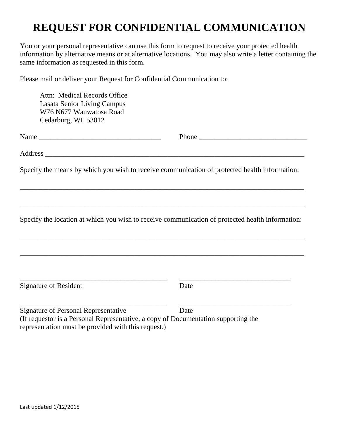## **REQUEST FOR CONFIDENTIAL COMMUNICATION**

You or your personal representative can use this form to request to receive your protected health information by alternative means or at alternative locations. You may also write a letter containing the same information as requested in this form.

Please mail or deliver your Request for Confidential Communication to:

| Attn: Medical Records Office<br><b>Lasata Senior Living Campus</b><br>W76 N677 Wauwatosa Road<br>Cedarburg, WI 53012              |                                                                                                  |
|-----------------------------------------------------------------------------------------------------------------------------------|--------------------------------------------------------------------------------------------------|
|                                                                                                                                   |                                                                                                  |
|                                                                                                                                   |                                                                                                  |
|                                                                                                                                   | Specify the means by which you wish to receive communication of protected health information:    |
|                                                                                                                                   | Specify the location at which you wish to receive communication of protected health information: |
|                                                                                                                                   |                                                                                                  |
| <b>Signature of Resident</b>                                                                                                      | Date                                                                                             |
| <b>Signature of Personal Representative</b><br>(If requestor is a Personal Representative, a copy of Documentation supporting the | Date                                                                                             |

representation must be provided with this request.)